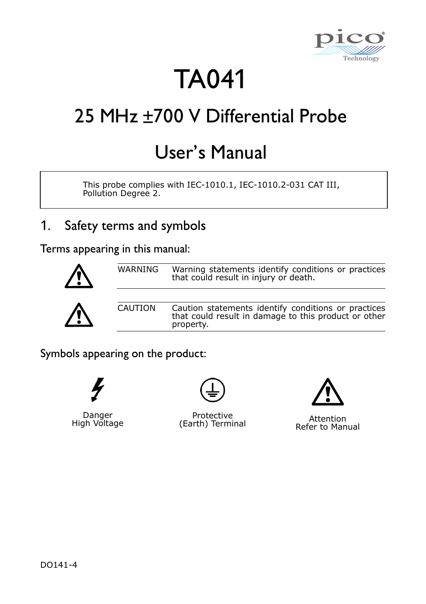

# TA041

## 25 MHz +700 V Differential Probe

## User's Manual

This probe complies with IEC-1010.1, IEC-1010.2-031 CAT III, Pollution Degree 2.

## 1. Safety terms and symbols

Terms appearing in this manual:



Symbols appearing on the product:



Danger High Voltage



Protective Protective Attention<br>Pofor to Man



Refer to Manual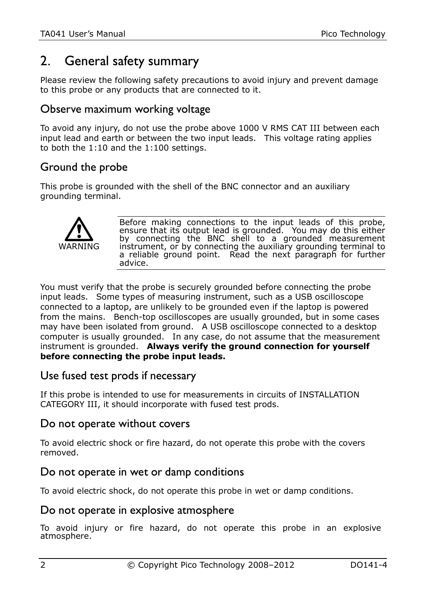## 2. General safety summary

Please review the following safety precautions to avoid injury and prevent damage to this probe or any products that are connected to it.

#### Observe maximum working voltage

To avoid any injury, do not use the probe above 1000 V RMS CAT III between each input lead and earth or between the two input leads. This voltage rating applies to both the 1:10 and the 1:100 settings.

#### Ground the probe

This probe is grounded with the shell of the BNC connector and an auxiliary grounding terminal.



Before making connections to the input leads of this probe, ensure that its output lead is grounded. You may do this either by connecting the BNC shell to a grounded measurement instrument, or by connecting the auxiliary grounding terminal to a reliable ground point. Read the next paragraph for further advice.

You must verify that the probe is securely grounded before connecting the probe input leads. Some types of measuring instrument, such as a USB oscilloscope connected to a laptop, are unlikely to be grounded even if the laptop is powered from the mains. Bench-top oscilloscopes are usually grounded, but in some cases may have been isolated from ground. A USB oscilloscope connected to a desktop computer is usually grounded. In any case, do not assume that the measurement instrument is grounded. **Always verify the ground connection for yourself before connecting the probe input leads.**

#### Use fused test prods if necessary

If this probe is intended to use for measurements in circuits of INSTALLATION CATEGORY III, it should incorporate with fused test prods.

#### Do not operate without covers

To avoid electric shock or fire hazard, do not operate this probe with the covers removed.

#### Do not operate in wet or damp conditions

To avoid electric shock, do not operate this probe in wet or damp conditions.

#### Do not operate in explosive atmosphere

To avoid injury or fire hazard, do not operate this probe in an explosive atmosphere.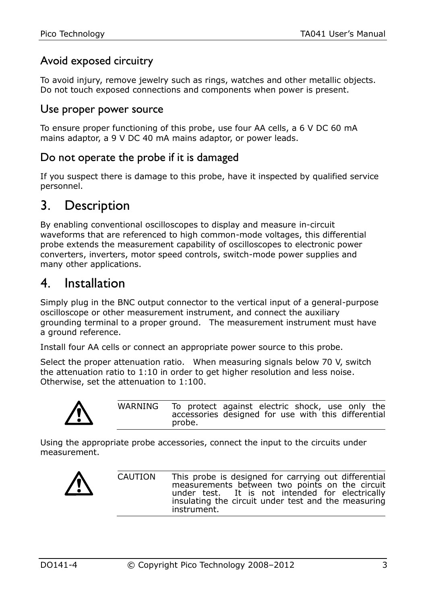#### Avoid exposed circuitry

To avoid injury, remove jewelry such as rings, watches and other metallic objects. Do not touch exposed connections and components when power is present.

#### Use proper power source

To ensure proper functioning of this probe, use four AA cells, a 6 V DC 60 mA mains adaptor, a 9 V DC 40 mA mains adaptor, or power leads.

#### Do not operate the probe if it is damaged

If you suspect there is damage to this probe, have it inspected by qualified service personnel.

### 3. Description

By enabling conventional oscilloscopes to display and measure in-circuit waveforms that are referenced to high common-mode voltages, this differential probe extends the measurement capability of oscilloscopes to electronic power converters, inverters, motor speed controls, switch-mode power supplies and many other applications.

### 4. Installation

Simply plug in the BNC output connector to the vertical input of a general-purpose oscilloscope or other measurement instrument, and connect the auxiliary grounding terminal to a proper ground. The measurement instrument must have a ground reference.

Install four AA cells or connect an appropriate power source to this probe.

Select the proper attenuation ratio. When measuring signals below 70 V, switch the attenuation ratio to 1:10 in order to get higher resolution and less noise. Otherwise, set the attenuation to 1:100.



WARNING To protect against electric shock, use only the accessories designed for use with this differential probe.

Using the appropriate probe accessories, connect the input to the circuits under measurement.



CAUTION This probe is designed for carrying out differential measurements between two points on the circuit under test. It is not intended for electrically It is not intended for electrically insulating the circuit under test and the measuring instrument.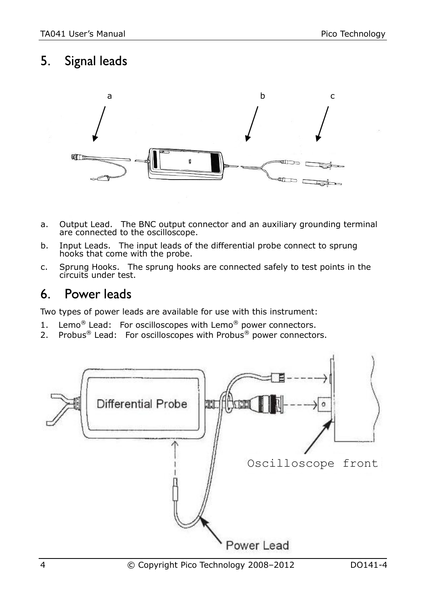## 5. Signal leads



- a. Output Lead. The BNC output connector and an auxiliary grounding terminal are connected to the oscilloscope.
- b. Input Leads. The input leads of the differential probe connect to sprung hooks that come with the probe.
- c. Sprung Hooks. The sprung hooks are connected safely to test points in the circuits under test.

## 6. Power leads

Two types of power leads are available for use with this instrument:

- 1. Lemo<sup>®</sup> Lead: For oscilloscopes with Lemo<sup>®</sup> power connectors.
- 2. Probus® Lead: For oscilloscopes with Probus® power connectors.

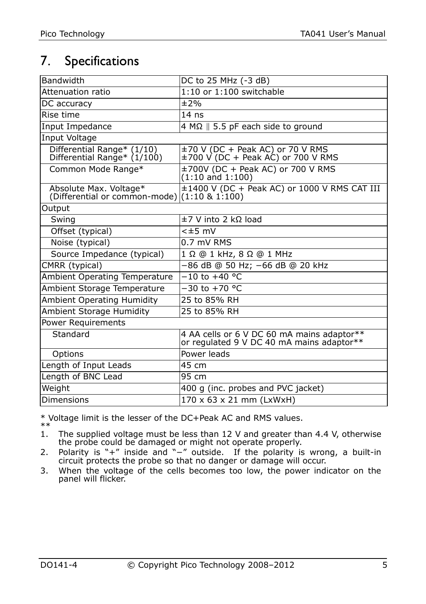## 7. Specifications

| Bandwidth                                                                 | DC to 25 MHz (-3 dB)                                                                    |  |
|---------------------------------------------------------------------------|-----------------------------------------------------------------------------------------|--|
| Attenuation ratio                                                         | $1:10$ or $1:100$ switchable                                                            |  |
| DC accuracy                                                               | ±2%                                                                                     |  |
| Rise time                                                                 | $14$ ns                                                                                 |  |
| Input Impedance                                                           | $4 M\Omega$   5.5 pF each side to ground                                                |  |
| Input Voltage                                                             |                                                                                         |  |
| Differential Range* (1/10)<br>Differential Range* (1/100)                 | ±70 V (DC + Peak AC) or 70 V RMS<br>$\pm$ 700 V (DC + Peak AC) or 700 V RMS             |  |
| Common Mode Range*                                                        | ±700V (DC + Peak AC) or 700 V RMS<br>$(1:10 \text{ and } 1:100)$                        |  |
| Absolute Max. Voltage*<br>(Differential or common-mode) $(1:10 \& 1:100)$ | ±1400 V (DC + Peak AC) or 1000 V RMS CAT III                                            |  |
| Output                                                                    |                                                                                         |  |
| Swing                                                                     | $±7$ V into 2 kΩ load                                                                   |  |
| Offset (typical)                                                          | $<\pm 5$ mV                                                                             |  |
| Noise (typical)                                                           | 0.7 mV RMS                                                                              |  |
| Source Impedance (typical)                                                | 1 Ω @ 1 kHz, 8 Ω @ 1 MHz                                                                |  |
| CMRR (typical)                                                            | -86 dB @ 50 Hz; -66 dB @ 20 kHz                                                         |  |
| Ambient Operating Temperature                                             | $-10$ to $+40$ °C.                                                                      |  |
| Ambient Storage Temperature                                               | $-30$ to $+70$ °C                                                                       |  |
| <b>Ambient Operating Humidity</b>                                         | 25 to 85% RH                                                                            |  |
| Ambient Storage Humidity                                                  | 25 to 85% RH                                                                            |  |
| <b>Power Requirements</b>                                                 |                                                                                         |  |
| Standard                                                                  | 4 AA cells or 6 V DC 60 mA mains adaptor**<br>or regulated 9 V DC 40 mA mains adaptor** |  |
| Options                                                                   | Power leads                                                                             |  |
| Length of Input Leads                                                     | 45 cm                                                                                   |  |
| Length of BNC Lead                                                        | 95 cm                                                                                   |  |
| Weight                                                                    | 400 g (inc. probes and PVC jacket)                                                      |  |
| <b>Dimensions</b>                                                         | 170 x 63 x 21 mm (LxWxH)                                                                |  |

\* Voltage limit is the lesser of the DC+Peak AC and RMS values.

 $* *$ <br>1 1. The supplied voltage must be less than 12 V and greater than 4.4 V, otherwise the probe could be damaged or might not operate properly.

2. Polarity is "+" inside and "−" outside. If the polarity is wrong, a built-in circuit protects the probe so that no danger or damage will occur.

3. When the voltage of the cells becomes too low, the power indicator on the panel will flicker.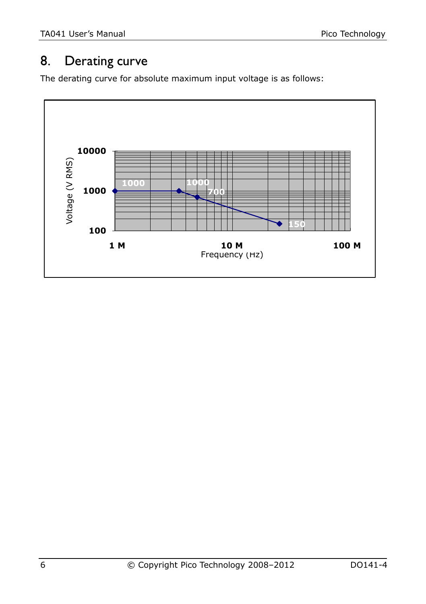## 8. Derating curve

The derating curve for absolute maximum input voltage is as follows:

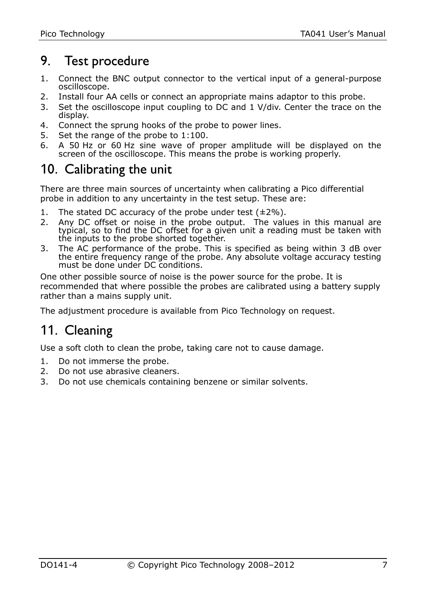## 9. Test procedure

- 1. Connect the BNC output connector to the vertical input of a general-purpose oscilloscope.
- 2. Install four AA cells or connect an appropriate mains adaptor to this probe.
- 3. Set the oscilloscope input coupling to DC and 1 V/div. Center the trace on the display.
- 4. Connect the sprung hooks of the probe to power lines.
- 5. Set the range of the probe to 1:100.
- 6. A 50 Hz or 60 Hz sine wave of proper amplitude will be displayed on the screen of the oscilloscope. This means the probe is working properly.

## 10. Calibrating the unit

There are three main sources of uncertainty when calibrating a Pico differential probe in addition to any uncertainty in the test setup. These are:

- 1. The stated DC accuracy of the probe under test  $(\pm 2\%)$ .
- 2. Any DC offset or noise in the probe output. The values in this manual are typical, so to find the DC offset for a given unit a reading must be taken with the inputs to the probe shorted together.
- 3. The AC performance of the probe. This is specified as being within 3 dB over the entire frequency range of the probe. Any absolute voltage accuracy testing must be done under DC conditions.

One other possible source of noise is the power source for the probe. It is recommended that where possible the probes are calibrated using a battery supply rather than a mains supply unit.

The adjustment procedure is available from Pico Technology on request.

## 11. Cleaning

Use a soft cloth to clean the probe, taking care not to cause damage.

- 1. Do not immerse the probe.
- 2. Do not use abrasive cleaners.
- 3. Do not use chemicals containing benzene or similar solvents.